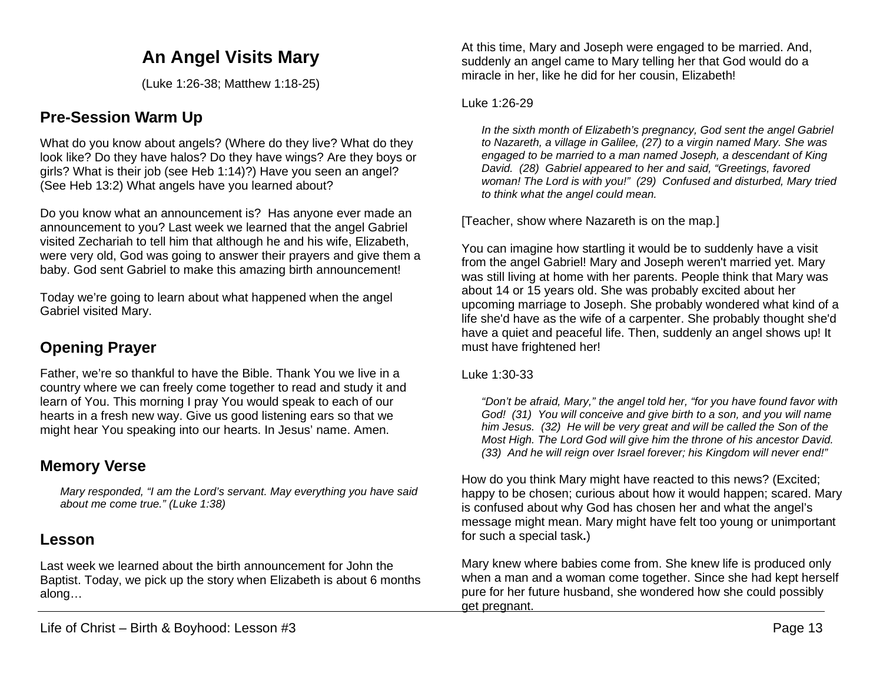# **An Angel Visits Mary**

(Luke 1:26-38; Matthew 1:18-25)

## **Pre-Session Warm Up**

What do you know about angels? (Where do they live? What do they look like? Do they have halos? Do they have wings? Are they boys or girls? What is their job (see Heb 1:14)?) Have you seen an angel? (See Heb 13:2) What angels have you learned about?

Do you know what an announcement is? Has anyone ever made an announcement to you? Last week we learned that the angel Gabriel visited Zechariah to tell him that although he and his wife, Elizabeth, were very old, God was going to answer their prayers and give them a baby. God sent Gabriel to make this amazing birth announcement!

Today we're going to learn about what happened when the angel Gabriel visited Mary.

# **Opening Prayer**

Father, we're so thankful to have the Bible. Thank You we live in a country where we can freely come together to read and study it and learn of You. This morning I pray You would speak to each of our hearts in a fresh new way. Give us good listening ears so that we might hear You speaking into our hearts. In Jesus' name. Amen.

### **Memory Verse**

*Mary responded, "I am the Lord's servant. May everything you have said about me come true." (Luke 1:38)*

### **Lesson**

Last week we learned about the birth announcement for John the Baptist. Today, we pick up the story when Elizabeth is about 6 months along…

At this time, Mary and Joseph were engaged to be married. And, suddenly an angel came to Mary telling her that God would do a miracle in her, like he did for her cousin, Elizabeth!

#### Luke 1:26-29

In the sixth month of Elizabeth's pregnancy, God sent the angel Gabriel *to Nazareth, a village in Galilee, (27) to a virgin named Mary. She was engaged to be married to a man named Joseph, a descendant of King David. (28) Gabriel appeared to her and said, "Greetings, favored woman! The Lord is with you!" (29) Confused and disturbed, Mary tried to think what the angel could mean.*

[Teacher, show where Nazareth is on the map.]

You can imagine how startling it would be to suddenly have a visit from the angel Gabriel! Mary and Joseph weren't married yet. Mary was still living at home with her parents. People think that Mary was about 14 or 15 years old. She was probably excited about her upcoming marriage to Joseph. She probably wondered what kind of a life she'd have as the wife of a carpenter. She probably thought she'd have a quiet and peaceful life. Then, suddenly an angel shows up! It must have frightened her!

Luke 1:30-33

*"Don't be afraid, Mary," the angel told her, "for you have found favor with God! (31) You will conceive and give birth to a son, and you will name him Jesus. (32) He will be very great and will be called the Son of the Most High. The Lord God will give him the throne of his ancestor David. (33) And he will reign over Israel forever; his Kingdom will never end!"* 

How do you think Mary might have reacted to this news? (Excited; happy to be chosen; curious about how it would happen; scared. Mary is confused about why God has chosen her and what the angel's message might mean. Mary might have felt too young or unimportant for such a special task**.**)

Mary knew where babies come from. She knew life is produced only when a man and a woman come together. Since she had kept herself pure for her future husband, she wondered how she could possibly get pregnant.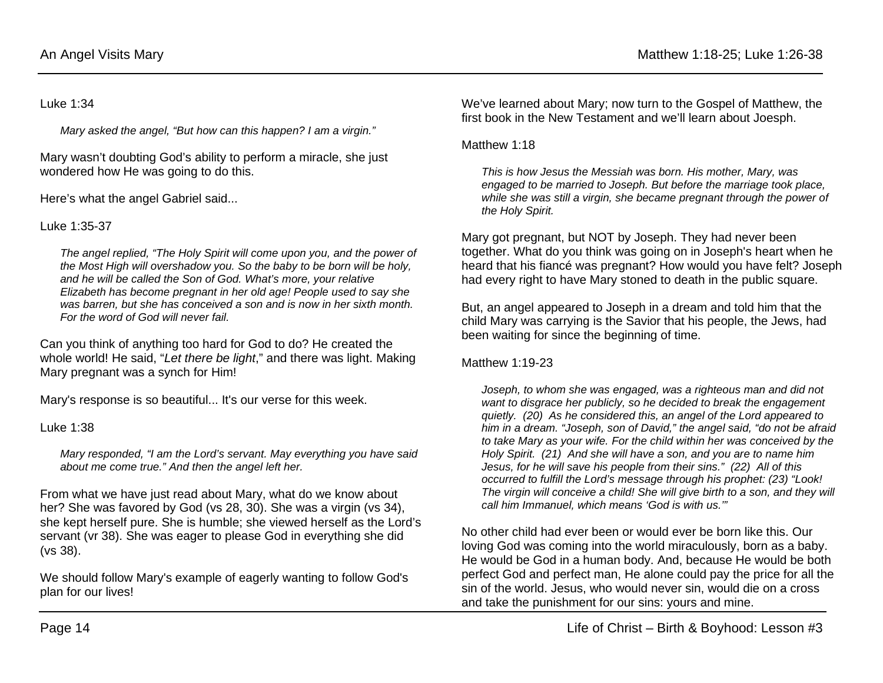#### Luke 1:34

*Mary asked the angel, "But how can this happen? I am a virgin."*

Mary wasn't doubting God's ability to perform a miracle, she just wondered how He was going to do this.

Here's what the angel Gabriel said...

Luke 1:35-37

*The angel replied, "The Holy Spirit will come upon you, and the power of the Most High will overshadow you. So the baby to be born will be holy, and he will be called the Son of God. What's more, your relative Elizabeth has become pregnant in her old age! People used to say she was barren, but she has conceived a son and is now in her sixth month. For the word of God will never fail.*

Can you think of anything too hard for God to do? He created the whole world! He said, "*Let there be light*," and there was light. Making Mary pregnant was a synch for Him!

Mary's response is so beautiful... It's our verse for this week.

Luke 1:38

*Mary responded, "I am the Lord's servant. May everything you have said about me come true." And then the angel left her.*

From what we have just read about Mary, what do we know about her? She was favored by God (vs 28, 30). She was a virgin (vs 34), she kept herself pure. She is humble; she viewed herself as the Lord's servant (vr 38). She was eager to please God in everything she did (vs 38).

We should follow Mary's example of eagerly wanting to follow God's plan for our lives!

We've learned about Mary; now turn to the Gospel of Matthew, the first book in the New Testament and we'll learn about Joesph.

#### Matthew 1:18

*This is how Jesus the Messiah was born. His mother, Mary, was engaged to be married to Joseph. But before the marriage took place, while she was still a virgin, she became pregnant through the power of the Holy Spirit.*

Mary got pregnant, but NOT by Joseph. They had never been together. What do you think was going on in Joseph's heart when he heard that his fiancé was pregnant? How would you have felt? Joseph had every right to have Mary stoned to death in the public square.

But, an angel appeared to Joseph in a dream and told him that the child Mary was carrying is the Savior that his people, the Jews, had been waiting for since the beginning of time.

Matthew 1:19-23

*Joseph, to whom she was engaged, was a righteous man and did not want to disgrace her publicly, so he decided to break the engagement quietly. (20) As he considered this, an angel of the Lord appeared to him in a dream. "Joseph, son of David," the angel said, "do not be afraid to take Mary as your wife. For the child within her was conceived by the Holy Spirit. (21) And she will have a son, and you are to name him Jesus, for he will save his people from their sins." (22) All of this occurred to fulfill the Lord's message through his prophet: (23) "Look! The virgin will conceive a child! She will give birth to a son, and they will call him Immanuel, which means 'God is with us.'"*

No other child had ever been or would ever be born like this. Our loving God was coming into the world miraculously, born as a baby. He would be God in a human body. And, because He would be both perfect God and perfect man, He alone could pay the price for all the sin of the world. Jesus, who would never sin, would die on a cross and take the punishment for our sins: yours and mine.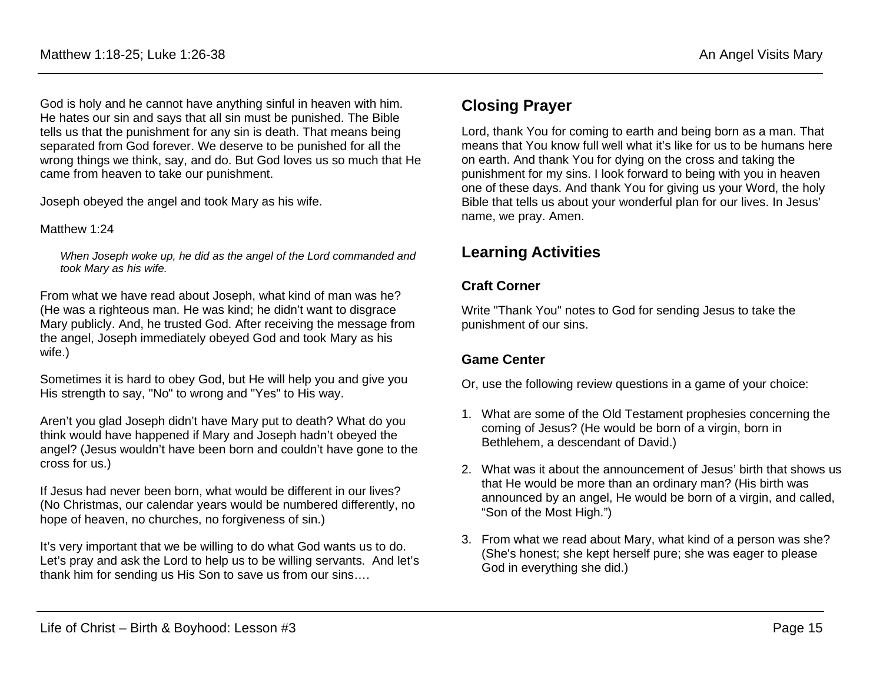God is holy and he cannot have anything sinful in heaven with him. He hates our sin and says that all sin must be punished. The Bible tells us that the punishment for any sin is death. That means being separated from God forever. We deserve to be punished for all the wrong things we think, say, and do. But God loves us so much that He came from heaven to take our punishment.

Joseph obeyed the angel and took Mary as his wife.

#### Matthew 1:24

*When Joseph woke up, he did as the angel of the Lord commanded and took Mary as his wife.*

From what we have read about Joseph, what kind of man was he? (He was a righteous man. He was kind; he didn't want to disgrace Mary publicly. And, he trusted God. After receiving the message from the angel, Joseph immediately obeyed God and took Mary as his wife.)

Sometimes it is hard to obey God, but He will help you and give you His strength to say, "No" to wrong and "Yes" to His way.

Aren't you glad Joseph didn't have Mary put to death? What do you think would have happened if Mary and Joseph hadn't obeyed the angel? (Jesus wouldn't have been born and couldn't have gone to the cross for us.)

If Jesus had never been born, what would be different in our lives? (No Christmas, our calendar years would be numbered differently, no hope of heaven, no churches, no forgiveness of sin.)

It's very important that we be willing to do what God wants us to do. Let's pray and ask the Lord to help us to be willing servants. And let's thank him for sending us His Son to save us from our sins….

### **Closing Prayer**

Lord, thank You for coming to earth and being born as a man. That means that You know full well what it's like for us to be humans here on earth. And thank You for dying on the cross and taking the punishment for my sins. I look forward to being with you in heaven one of these days. And thank You for giving us your Word, the holy Bible that tells us about your wonderful plan for our lives. In Jesus' name, we pray. Amen.

## **Learning Activities**

### **Craft Corner**

Write "Thank You" notes to God for sending Jesus to take the punishment of our sins.

### **Game Center**

Or, use the following review questions in a game of your choice:

- 1. What are some of the Old Testament prophesies concerning the coming of Jesus? (He would be born of a virgin, born in Bethlehem, a descendant of David.)
- 2. What was it about the announcement of Jesus' birth that shows us that He would be more than an ordinary man? (His birth was announced by an angel, He would be born of a virgin, and called, "Son of the Most High.")
- 3. From what we read about Mary, what kind of a person was she? (She's honest; she kept herself pure; she was eager to please God in everything she did.)